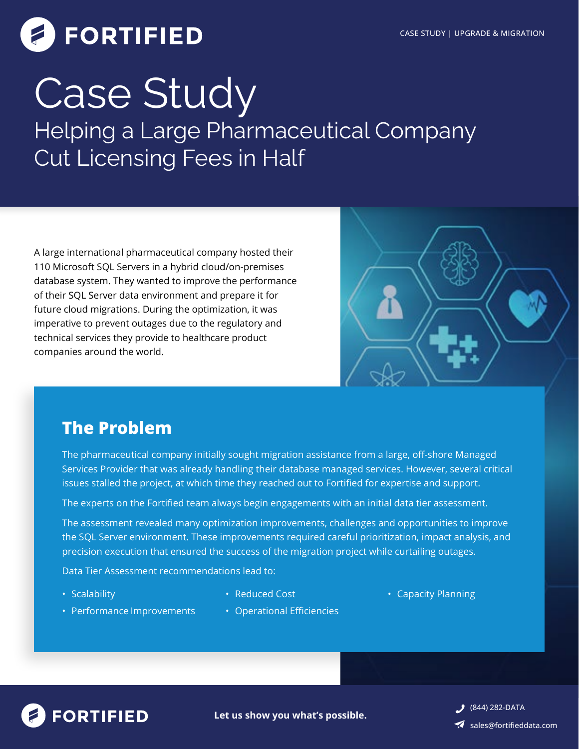# **FORTIFIED**

## Helping a Large Pharmaceutical Company Cut Licensing Fees in Half Case Study

A large international pharmaceutical company hosted their 110 Microsoft SQL Servers in a hybrid cloud/on-premises database system. They wanted to improve the performance of their SQL Server data environment and prepare it for future cloud migrations. During the optimization, it was imperative to prevent outages due to the regulatory and technical services they provide to healthcare product companies around the world.



### **The Problem**

The pharmaceutical company initially sought migration assistance from a large, off-shore Managed Services Provider that was already handling their database managed services. However, several critical issues stalled the project, at which time they reached out to Fortified for expertise and support.

The experts on the Fortified team always begin engagements with an initial data tier assessment.

The assessment revealed many optimization improvements, challenges and opportunities to improve the SQL Server environment. These improvements required careful prioritization, impact analysis, and precision execution that ensured the success of the migration project while curtailing outages.

Data Tier Assessment recommendations lead to:

• Scalability

- 
- Reduced Cost  **Capacity Planning**
- Performance Improvements
- Operational Efficiencies



**Let us show you what's possible.**

(844) 282-DATA sales@fortifieddata.com